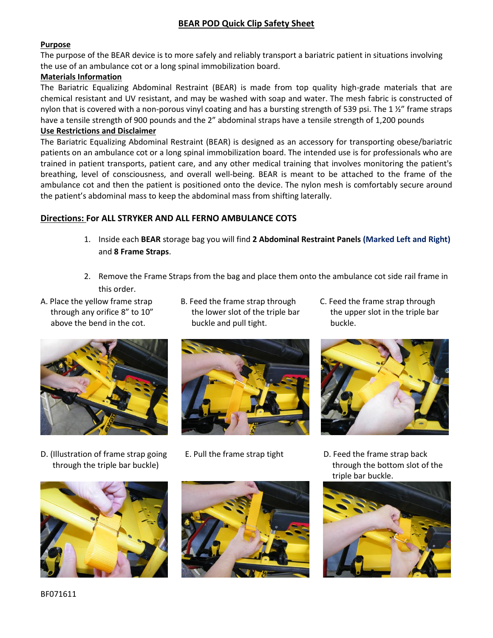#### **BEAR POD Quick Clip Safety Sheet**

#### **Purpose**

The purpose of the BEAR device is to more safely and reliably transport a bariatric patient in situations involving the use of an ambulance cot or a long spinal immobilization board.

#### **Materials Information**

The Bariatric Equalizing Abdominal Restraint (BEAR) is made from top quality high-grade materials that are chemical resistant and UV resistant, and may be washed with soap and water. The mesh fabric is constructed of nylon that is covered with a non-porous vinyl coating and has a bursting strength of 539 psi. The 1 1/2" frame straps have a tensile strength of 900 pounds and the 2" abdominal straps have a tensile strength of 1,200 pounds

#### **Use Restrictions and Disclaimer**

The Bariatric Equalizing Abdominal Restraint (BEAR) is designed as an accessory for transporting obese/bariatric patients on an ambulance cot or a long spinal immobilization board. The intended use is for professionals who are trained in patient transports, patient care, and any other medical training that involves monitoring the patient's breathing, level of consciousness, and overall well-being. BEAR is meant to be attached to the frame of the ambulance cot and then the patient is positioned onto the device. The nylon mesh is comfortably secure around the patient's abdominal mass to keep the abdominal mass from shifting laterally.

#### **Directions: For ALL STRYKER AND ALL FERNO AMBULANCE COTS**

- 1. Inside each **BEAR** storage bag you will find **2 Abdominal Restraint Panels (Marked Left and Right)**  and **8 Frame Straps**.
- 2. Remove the Frame Straps from the bag and place them onto the ambulance cot side rail frame in this order.
- 
- A. Place the yellow frame strap B. Feed the frame strap through C. Feed the frame strap through through any orifice 8" to 10" the lower slot of the triple bar the upper slot in the triple bar above the bend in the cot. buckle and pull tight. buckle.
	-



D. (Illustration of frame strap going E. Pull the frame strap tight D. Feed the frame strap back







through the triple bar buckle) through the bottom slot of the through the bottom slot of the triple bar buckle.

![](_page_0_Picture_20.jpeg)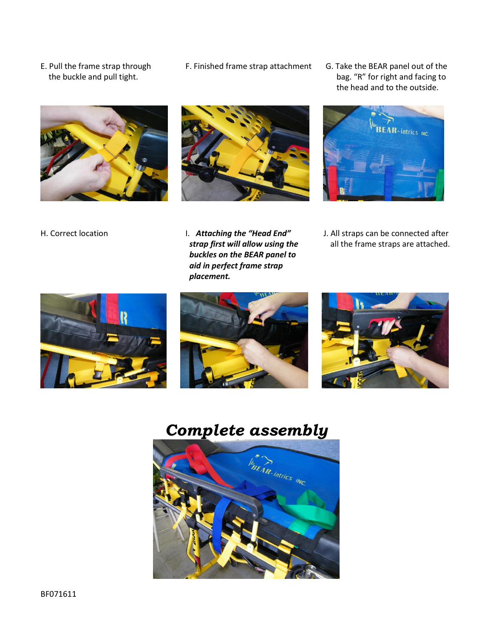- 
- E. Pull the frame strap through F. Finished frame strap attachment G. Take the BEAR panel out of the
- the buckle and pull tight. **bage is a controlled to the buckle** and facing to bag. "R" for right and facing to the head and to the outside.

![](_page_1_Picture_3.jpeg)

![](_page_1_Picture_4.jpeg)

![](_page_1_Picture_5.jpeg)

- *buckles on the BEAR panel to aid in perfect frame strap placement.*
- H. Correct location **I. Attaching the "Head End"** J. All straps can be connected after **strap first will allow using the all the frame straps are attached.**

![](_page_1_Picture_9.jpeg)

## *Complete assembly*

![](_page_1_Picture_11.jpeg)